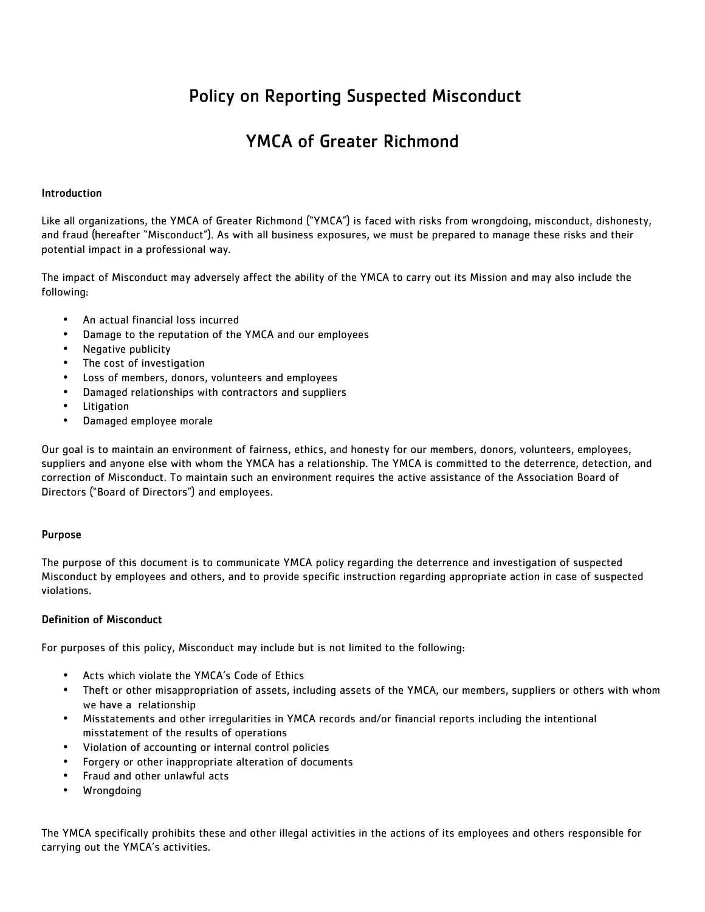# Policy on Reporting Suspected Misconduct

# YMCA of Greater Richmond

## Introduction

Like all organizations, the YMCA of Greater Richmond ("YMCA") is faced with risks from wrongdoing, misconduct, dishonesty, and fraud (hereafter "Misconduct"). As with all business exposures, we must be prepared to manage these risks and their potential impact in a professional way.

The impact of Misconduct may adversely affect the ability of the YMCA to carry out its Mission and may also include the following:

- An actual financial loss incurred
- Damage to the reputation of the YMCA and our employees
- Negative publicity
- The cost of investigation
- Loss of members, donors, volunteers and employees
- Damaged relationships with contractors and suppliers
- **Litigation**
- Damaged employee morale

Our goal is to maintain an environment of fairness, ethics, and honesty for our members, donors, volunteers, employees, suppliers and anyone else with whom the YMCA has a relationship. The YMCA is committed to the deterrence, detection, and correction of Misconduct. To maintain such an environment requires the active assistance of the Association Board of Directors ("Board of Directors") and employees.

## Purpose

The purpose of this document is to communicate YMCA policy regarding the deterrence and investigation of suspected Misconduct by employees and others, and to provide specific instruction regarding appropriate action in case of suspected violations.

## Definition of Misconduct

For purposes of this policy, Misconduct may include but is not limited to the following:

- Acts which violate the YMCA's Code of Ethics
- Theft or other misappropriation of assets, including assets of the YMCA, our members, suppliers or others with whom we have a relationship
- Misstatements and other irregularities in YMCA records and/or financial reports including the intentional misstatement of the results of operations
- Violation of accounting or internal control policies
- Forgery or other inappropriate alteration of documents
- Fraud and other unlawful acts
- **Wrongdoing**

The YMCA specifically prohibits these and other illegal activities in the actions of its employees and others responsible for carrying out the YMCA's activities.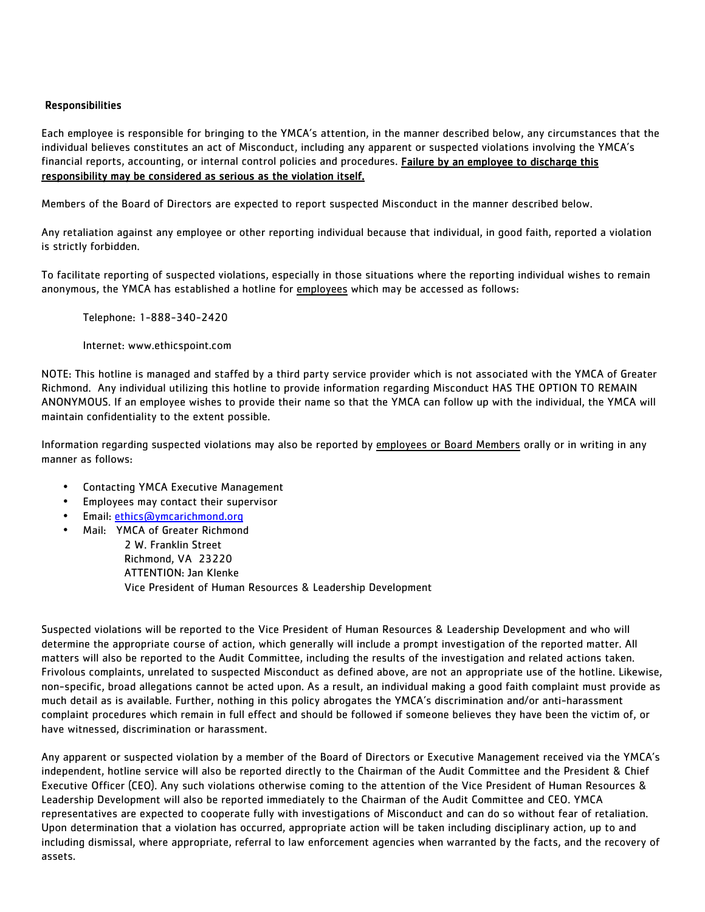## Responsibilities

Each employee is responsible for bringing to the YMCA's attention, in the manner described below, any circumstances that the individual believes constitutes an act of Misconduct, including any apparent or suspected violations involving the YMCA's financial reports, accounting, or internal control policies and procedures. Failure by an employee to discharge this responsibility may be considered as serious as the violation itself.

Members of the Board of Directors are expected to report suspected Misconduct in the manner described below.

Any retaliation against any employee or other reporting individual because that individual, in good faith, reported a violation is strictly forbidden.

To facilitate reporting of suspected violations, especially in those situations where the reporting individual wishes to remain anonymous, the YMCA has established a hotline for employees which may be accessed as follows:

Telephone: 1-888-340-2420

Internet: www.ethicspoint.com

NOTE: This hotline is managed and staffed by a third party service provider which is not associated with the YMCA of Greater Richmond. Any individual utilizing this hotline to provide information regarding Misconduct HAS THE OPTION TO REMAIN ANONYMOUS. If an employee wishes to provide their name so that the YMCA can follow up with the individual, the YMCA will maintain confidentiality to the extent possible.

Information regarding suspected violations may also be reported by employees or Board Members orally or in writing in any manner as follows:

- Contacting YMCA Executive Management
- Employees may contact their supervisor
- Email: ethics@ymcarichmond.org
- Mail: YMCA of Greater Richmond

 2 W. Franklin Street Richmond, VA 23220 ATTENTION: Jan Klenke Vice President of Human Resources & Leadership Development

Suspected violations will be reported to the Vice President of Human Resources & Leadership Development and who will determine the appropriate course of action, which generally will include a prompt investigation of the reported matter. All matters will also be reported to the Audit Committee, including the results of the investigation and related actions taken. Frivolous complaints, unrelated to suspected Misconduct as defined above, are not an appropriate use of the hotline. Likewise, non-specific, broad allegations cannot be acted upon. As a result, an individual making a good faith complaint must provide as much detail as is available. Further, nothing in this policy abrogates the YMCA's discrimination and/or anti-harassment complaint procedures which remain in full effect and should be followed if someone believes they have been the victim of, or have witnessed, discrimination or harassment.

Any apparent or suspected violation by a member of the Board of Directors or Executive Management received via the YMCA's independent, hotline service will also be reported directly to the Chairman of the Audit Committee and the President & Chief Executive Officer (CEO). Any such violations otherwise coming to the attention of the Vice President of Human Resources & Leadership Development will also be reported immediately to the Chairman of the Audit Committee and CEO. YMCA representatives are expected to cooperate fully with investigations of Misconduct and can do so without fear of retaliation. Upon determination that a violation has occurred, appropriate action will be taken including disciplinary action, up to and including dismissal, where appropriate, referral to law enforcement agencies when warranted by the facts, and the recovery of assets.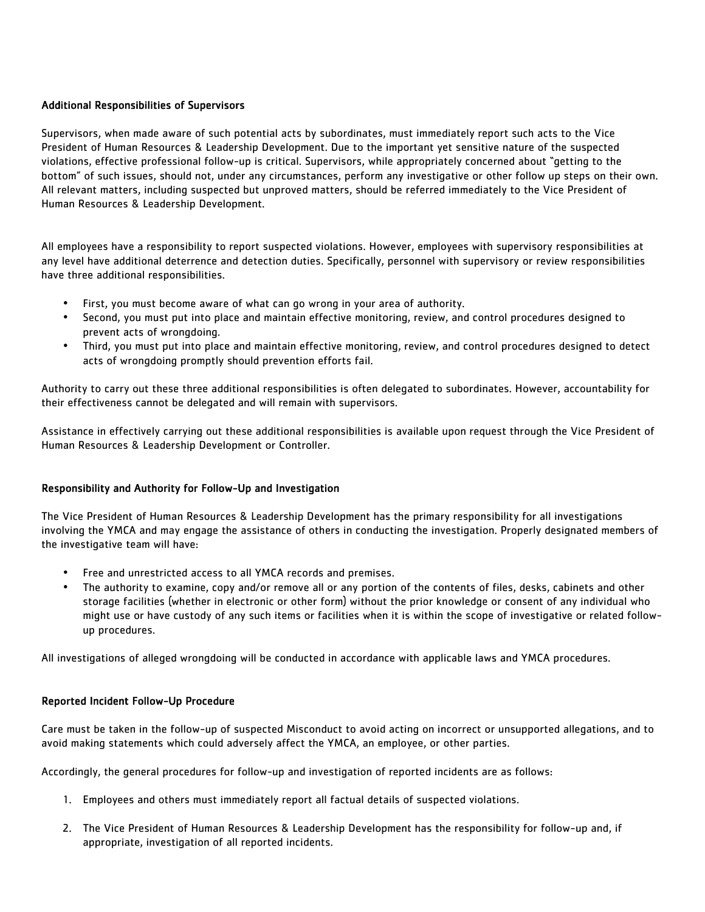# Additional Responsibilities of Supervisors

Supervisors, when made aware of such potential acts by subordinates, must immediately report such acts to the Vice President of Human Resources & Leadership Development. Due to the important yet sensitive nature of the suspected violations, effective professional follow-up is critical. Supervisors, while appropriately concerned about "getting to the bottom" of such issues, should not, under any circumstances, perform any investigative or other follow up steps on their own. All relevant matters, including suspected but unproved matters, should be referred immediately to the Vice President of Human Resources & Leadership Development.

All employees have a responsibility to report suspected violations. However, employees with supervisory responsibilities at any level have additional deterrence and detection duties. Specifically, personnel with supervisory or review responsibilities have three additional responsibilities.

- First, you must become aware of what can go wrong in your area of authority.
- Second, you must put into place and maintain effective monitoring, review, and control procedures designed to prevent acts of wrongdoing.
- Third, you must put into place and maintain effective monitoring, review, and control procedures designed to detect acts of wrongdoing promptly should prevention efforts fail.

Authority to carry out these three additional responsibilities is often delegated to subordinates. However, accountability for their effectiveness cannot be delegated and will remain with supervisors.

Assistance in effectively carrying out these additional responsibilities is available upon request through the Vice President of Human Resources & Leadership Development or Controller.

# Responsibility and Authority for Follow-Up and Investigation

The Vice President of Human Resources & Leadership Development has the primary responsibility for all investigations involving the YMCA and may engage the assistance of others in conducting the investigation. Properly designated members of the investigative team will have:

- Free and unrestricted access to all YMCA records and premises.
- The authority to examine, copy and/or remove all or any portion of the contents of files, desks, cabinets and other storage facilities (whether in electronic or other form) without the prior knowledge or consent of any individual who might use or have custody of any such items or facilities when it is within the scope of investigative or related followup procedures.

All investigations of alleged wrongdoing will be conducted in accordance with applicable laws and YMCA procedures.

## Reported Incident Follow-Up Procedure

Care must be taken in the follow-up of suspected Misconduct to avoid acting on incorrect or unsupported allegations, and to avoid making statements which could adversely affect the YMCA, an employee, or other parties.

Accordingly, the general procedures for follow-up and investigation of reported incidents are as follows:

- 1. Employees and others must immediately report all factual details of suspected violations.
- 2. The Vice President of Human Resources & Leadership Development has the responsibility for follow-up and, if appropriate, investigation of all reported incidents.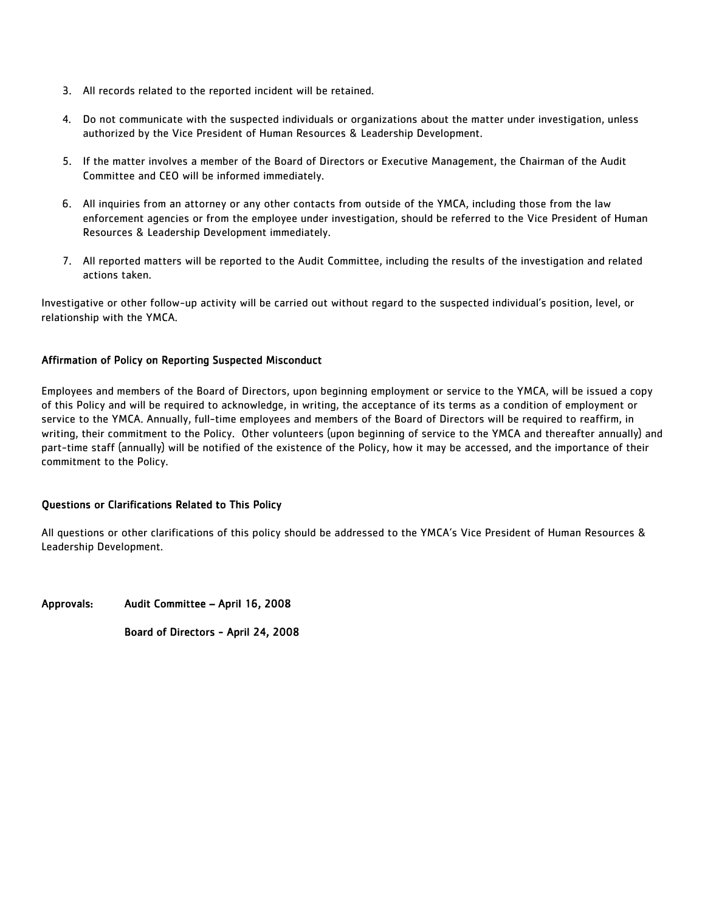- 3. All records related to the reported incident will be retained.
- 4. Do not communicate with the suspected individuals or organizations about the matter under investigation, unless authorized by the Vice President of Human Resources & Leadership Development.
- 5. If the matter involves a member of the Board of Directors or Executive Management, the Chairman of the Audit Committee and CEO will be informed immediately.
- 6. All inquiries from an attorney or any other contacts from outside of the YMCA, including those from the law enforcement agencies or from the employee under investigation, should be referred to the Vice President of Human Resources & Leadership Development immediately.
- 7. All reported matters will be reported to the Audit Committee, including the results of the investigation and related actions taken.

Investigative or other follow-up activity will be carried out without regard to the suspected individual's position, level, or relationship with the YMCA.

# Affirmation of Policy on Reporting Suspected Misconduct

Employees and members of the Board of Directors, upon beginning employment or service to the YMCA, will be issued a copy of this Policy and will be required to acknowledge, in writing, the acceptance of its terms as a condition of employment or service to the YMCA. Annually, full-time employees and members of the Board of Directors will be required to reaffirm, in writing, their commitment to the Policy. Other volunteers (upon beginning of service to the YMCA and thereafter annually) and part-time staff (annually) will be notified of the existence of the Policy, how it may be accessed, and the importance of their commitment to the Policy.

## Questions or Clarifications Related to This Policy

All questions or other clarifications of this policy should be addressed to the YMCA's Vice President of Human Resources & Leadership Development.

Approvals: Audit Committee – April 16, 2008

Board of Directors - April 24, 2008